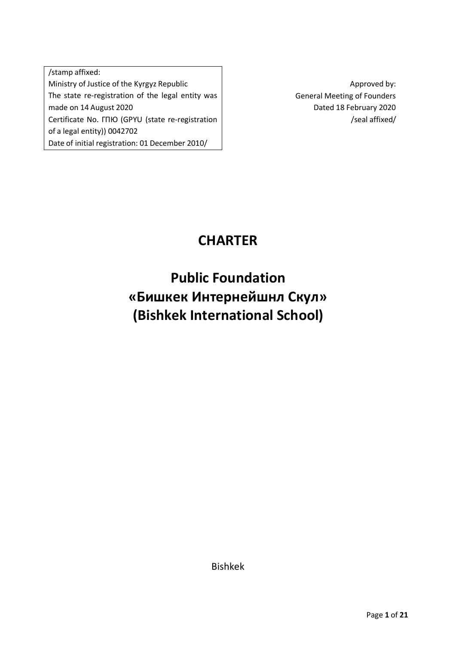/stamp affixed: Ministry of Justice of the Kyrgyz Republic The state re-registration of the legal entity was made on 14 August 2020 Certificate No. ГПЮ (GPYU (state re-registration of a legal entity)) 0042702 Date of initial registration: 01 December 2010/

Approved by: General Meeting of Founders Dated 18 February 2020 /seal affixed/

## **CHARTER**

# **Public Foundation «Бишкек Интернейшнл Скул» (Bishkek International School)**

Bishkek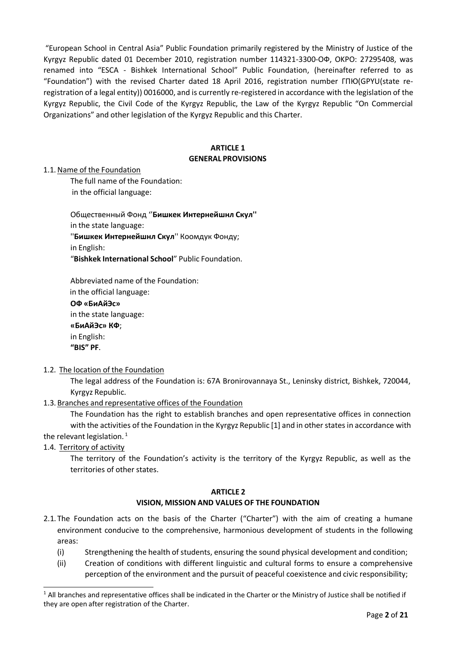"European School in Central Asia" Public Foundation primarily registered by the Ministry of Justice of the Kyrgyz Republic dated 01 December 2010, registration number 114321-3300-ОФ, OKPO: 27295408, was renamed into "ESCA - Bishkek International School" Public Foundation, (hereinafter referred to as "Foundation") with the revised Charter dated 18 April 2016, registration number ГПЮ(GPYU(state reregistration of a legal entity)) 0016000, and is currently re-registered in accordance with the legislation of the Kyrgyz Republic, the Civil Code of the Kyrgyz Republic, the Law of the Kyrgyz Republic "On Commercial Organizations" and other legislation of the Kyrgyz Republic and this Charter.

## **ARTICLE 1 GENERAL PROVISIONS**

1.1. Name of the Foundation

The full name of the Foundation: in the official language:

Общественный Фонд ''**Бишкек Интернейшнл Скул''** in the state language: ''**Бишкек Интернейшнл Скул**'' Коомдук Фонду; in English: "**Bishkek International School**" Public Foundation.

Abbreviated name of the Foundation:

in the official language: **ОФ «БиАйЭс»**

in the state language: **«БиАйЭс» КФ**; in English:

**"BIS" PF**.

1.2. The location of the Foundation

The legal address of the Foundation is: 67A Bronirovannaya St., Leninsky district, Bishkek, 720044, Kyrgyz Republic.

1.3. Branches and representative offices of the Foundation

The Foundation has the right to establish branches and open representative offices in connection with the activities of the Foundation in the Kyrgyz Republic [1] and in other states in accordance with the relevant legislation. $<sup>1</sup>$ </sup>

1.4. Territory of activity

The territory of the Foundation's activity is the territory of the Kyrgyz Republic, as well as the territories of other states.

#### **ARTICLE 2 VISION, MISSION AND VALUES OF THE FOUNDATION**

- 2.1. The Foundation acts on the basis of the Charter ("Charter") with the aim of creating a humane environment conducive to the comprehensive, harmonious development of students in the following areas:
	- $(i)$  Strengthening the health of students, ensuring the sound physical development and condition;
	- (ii) Creation of conditions with different linguistic and cultural forms to ensure a comprehensive perception of the environment and the pursuit of peaceful coexistence and civic responsibility;

<sup>&</sup>lt;sup>1</sup> All branches and representative offices shall be indicated in the Charter or the Ministry of Justice shall be notified if they are open after registration of the Charter.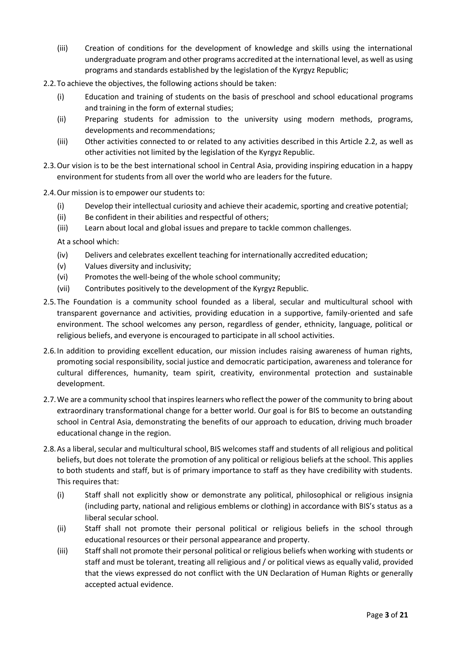- (iii) Creation of conditions for the development of knowledge and skills using the international undergraduate program and other programs accredited atthe international level, as well as using programs and standards established by the legislation of the Kyrgyz Republic;
- 2.2.To achieve the objectives, the following actions should be taken:
	- (i) Education and training of students on the basis of preschool and school educational programs and training in the form of external studies;
	- (ii) Preparing students for admission to the university using modern methods, programs, developments and recommendations;
	- (iii) Other activities connected to or related to any activities described in this Article 2.2, as well as other activities not limited by the legislation of the Kyrgyz Republic.
- 2.3.Our vision is to be the best international school in Central Asia, providing inspiring education in a happy environment for students from all over the world who are leaders for the future.
- 2.4.Our mission is to empower our students to:
	- $(i)$  Develop their intellectual curiosity and achieve their academic, sporting and creative potential;
	- (ii) Be confident in their abilities and respectful of others;
	- (iii) Learn about local and global issues and prepare to tackle common challenges.

At a school which:

- (iv) Delivers and celebrates excellent teaching for internationally accredited education;
- (v) Values diversity and inclusivity;
- (vi) Promotes the well-being of the whole school community;
- (vii) Contributes positively to the development of the Kyrgyz Republic.
- 2.5.The Foundation is a community school founded as a liberal, secular and multicultural school with transparent governance and activities, providing education in a supportive, family-oriented and safe environment. The school welcomes any person, regardless of gender, ethnicity, language, political or religious beliefs, and everyone is encouraged to participate in all school activities.
- 2.6.In addition to providing excellent education, our mission includes raising awareness of human rights, promoting social responsibility, social justice and democratic participation, awareness and tolerance for cultural differences, humanity, team spirit, creativity, environmental protection and sustainable development.
- 2.7. We are a community school that inspires learners who reflect the power of the community to bring about extraordinary transformational change for a better world. Our goal is for BIS to become an outstanding school in Central Asia, demonstrating the benefits of our approach to education, driving much broader educational change in the region.
- 2.8. As a liberal, secular and multicultural school, BIS welcomes staff and students of all religious and political beliefs, but does not tolerate the promotion of any political or religious beliefs at the school. This applies to both students and staff, but is of primary importance to staff as they have credibility with students. This requires that:
	- (i) Staff shall not explicitly show or demonstrate any political, philosophical or religious insignia (including party, national and religious emblems or clothing) in accordance with BIS's status as a liberal secular school.
	- (ii) Staff shall not promote their personal political or religious beliefs in the school through educational resources or their personal appearance and property.
	- (iii) Staffshall not promote their personal political or religious beliefs when working with students or staff and must be tolerant, treating all religious and / or political views as equally valid, provided that the views expressed do not conflict with the UN Declaration of Human Rights or generally accepted actual evidence.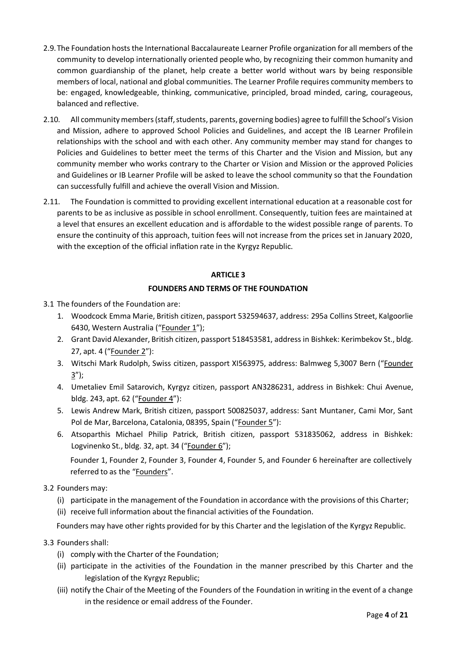- 2.9.The Foundation hosts the International Baccalaureate Learner Profile organization for all members of the community to develop internationally oriented people who, by recognizing their common humanity and common guardianship of the planet, help create a better world without wars by being responsible members of local, national and global communities. The Learner Profile requires community members to be: engaged, knowledgeable, thinking, communicative, principled, broad minded, caring, courageous, balanced and reflective.
- 2.10. All community members (staff, students, parents, governing bodies) agree to fulfill the School's Vision and Mission, adhere to approved School Policies and Guidelines, and accept the IB Learner Profilein relationships with the school and with each other. Any community member may stand for changes to Policies and Guidelines to better meet the terms of this Charter and the Vision and Mission, but any community member who works contrary to the Charter or Vision and Mission or the approved Policies and Guidelines or IB Learner Profile will be asked to leave the school community so that the Foundation can successfully fulfill and achieve the overall Vision and Mission.
- 2.11. The Foundation is committed to providing excellent international education at a reasonable cost for parents to be as inclusive as possible in school enrollment. Consequently, tuition fees are maintained at a level that ensures an excellent education and is affordable to the widest possible range of parents. To ensure the continuity of this approach, tuition fees will not increase from the prices set in January 2020, with the exception of the official inflation rate in the Kyrgyz Republic.

## **FOUNDERS AND TERMS OF THE FOUNDATION**

- 3.1 The founders of the Foundation are:
	- 1. Woodcock Emma Marie, British citizen, passport 532594637, address: 295a Collins Street, Kalgoorlie 6430, Western Australia ("Founder 1");
	- 2. Grant David Alexander, British citizen, passport 518453581, address in Bishkek: Kerimbekov St., bldg. 27, apt. 4 ("Founder 2"):
	- 3. Witschi Mark Rudolph, Swiss citizen, passport XI563975, address: Balmweg 5,3007 Bern ("Founder 3");
	- 4. Umetaliev Emil Satarovich, Kyrgyz citizen, passport AN3286231, address in Bishkek: Chui Avenue, bldg. 243, apt. 62 ("Founder 4"):
	- 5. Lewis Andrew Mark, British citizen, passport 500825037, address: Sant Muntaner, Cami Mor, Sant Pol de Mar, Barcelona, Catalonia, 08395, Spain ("Founder 5"):
	- 6. Atsoparthis Michael Philip Patrick, British citizen, passport 531835062, address in Bishkek: Logvinenko St., bldg. 32, apt. 34 ("Founder 6");

Founder 1, Founder 2, Founder 3, Founder 4, Founder 5, and Founder 6 hereinafter are collectively referred to as the "Founders".

- 3.2 Founders may:
	- (i) participate in the management of the Foundation in accordance with the provisions of this Charter;
	- (ii) receive full information about the financial activities of the Foundation.

Founders may have other rights provided for by this Charter and the legislation of the Kyrgyz Republic.

- 3.3 Founders shall:
	- (i) comply with the Charter of the Foundation;
	- (ii) participate in the activities of the Foundation in the manner prescribed by this Charter and the legislation of the Kyrgyz Republic;
	- (iii) notify the Chair of the Meeting of the Founders of the Foundation in writing in the event of a change in the residence or email address of the Founder.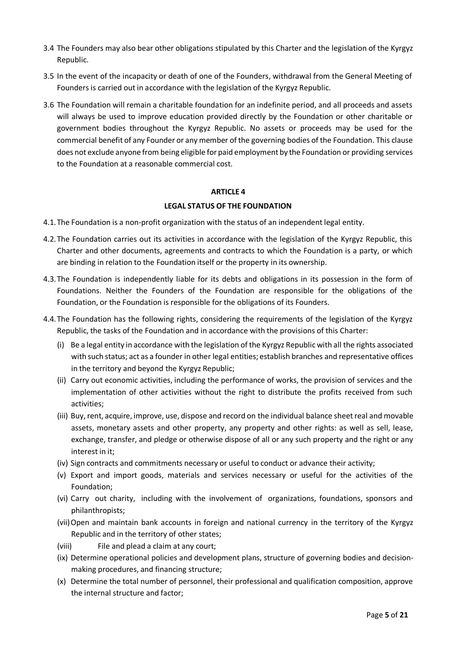- 3.4 The Founders may also bear other obligations stipulated by this Charter and the legislation of the Kyrgyz Republic.
- 3.5 In the event of the incapacity or death of one of the Founders, withdrawal from the General Meeting of Founders is carried out in accordance with the legislation of the Kyrgyz Republic.
- 3.6 The Foundation will remain a charitable foundation for an indefinite period, and all proceeds and assets will always be used to improve education provided directly by the Foundation or other charitable or government bodies throughout the Kyrgyz Republic. No assets or proceeds may be used for the commercial benefit of any Founder or any member of the governing bodies of the Foundation. This clause does not exclude anyone from being eligible for paid employment by the Foundation or providing services to the Foundation at a reasonable commercial cost.

#### **LEGAL STATUS OF THE FOUNDATION**

- 4.1.The Foundation is a non-profit organization with the status of an independent legal entity.
- 4.2.The Foundation carries out its activities in accordance with the legislation of the Kyrgyz Republic, this Charter and other documents, agreements and contracts to which the Foundation is a party, or which are binding in relation to the Foundation itself or the property in its ownership.
- 4.3.The Foundation is independently liable for its debts and obligations in its possession in the form of Foundations. Neither the Founders of the Foundation are responsible for the obligations of the Foundation, or the Foundation is responsible for the obligations of its Founders.
- 4.4.The Foundation has the following rights, considering the requirements of the legislation of the Kyrgyz Republic, the tasks of the Foundation and in accordance with the provisions of this Charter:
	- (i) Be a legal entity in accordance with the legislation of the Kyrgyz Republic with all the rights associated with such status; act as a founder in other legal entities; establish branches and representative offices in the territory and beyond the Kyrgyz Republic;
	- (ii) Carry out economic activities, including the performance of works, the provision of services and the implementation of other activities without the right to distribute the profits received from such activities;
	- (iii) Buy, rent, acquire, improve, use, dispose and record on the individual balance sheet real and movable assets, monetary assets and other property, any property and other rights: as well as sell, lease, exchange, transfer, and pledge or otherwise dispose of all or any such property and the right or any interest in it;
	- (iv) Sign contracts and commitments necessary or useful to conduct or advance their activity;
	- (v) Export and import goods, materials and services necessary or useful for the activities of the Foundation;
	- (vi) Carry out charity, including with the involvement of organizations, foundations, sponsors and philanthropists;
	- (vii)Open and maintain bank accounts in foreign and national currency in the territory of the Kyrgyz Republic and in the territory of other states;
	- (viii) File and plead a claim at any court;
	- (ix) Determine operational policies and development plans, structure of governing bodies and decisionmaking procedures, and financing structure;
	- (x) Determine the total number of personnel, their professional and qualification composition, approve the internal structure and factor;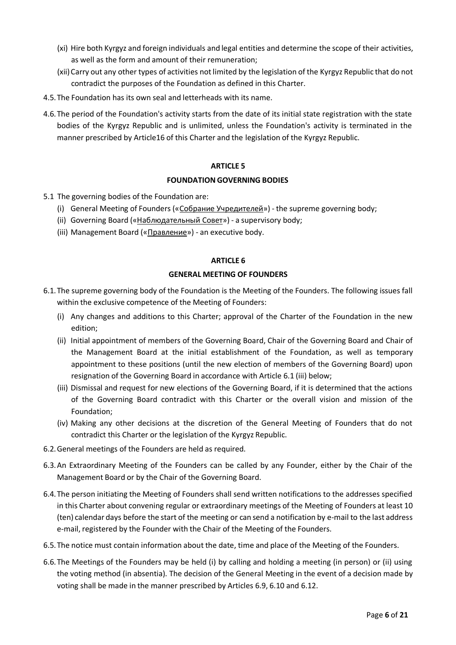- (xi) Hire both Kyrgyz and foreign individuals and legal entities and determine the scope of their activities, as well as the form and amount of their remuneration;
- (xii)Carry out any other types of activities notlimited by the legislation of the Kyrgyz Republic that do not contradict the purposes of the Foundation as defined in this Charter.
- 4.5.The Foundation has its own seal and letterheads with its name.
- 4.6.The period of the Foundation's activity starts from the date of its initial state registration with the state bodies of the Kyrgyz Republic and is unlimited, unless the Foundation's activity is terminated in the manner prescribed by Article16 of this Charter and the legislation of the Kyrgyz Republic.

## **FOUNDATION GOVERNING BODIES**

- 5.1 The governing bodies of the Foundation are:
	- (i) General Meeting of Founders («Собрание Учредителей») the supreme governing body;
	- (ii) Governing Board («Наблюдательный Совет») a supervisory body;
	- (iii) Management Board («Правление») an executive body.

## **ARTICLE 6**

## **GENERAL MEETING OF FOUNDERS**

- 6.1.The supreme governing body of the Foundation is the Meeting of the Founders. The following issues fall within the exclusive competence of the Meeting of Founders:
	- (i) Any changes and additions to this Charter; approval of the Charter of the Foundation in the new edition;
	- (ii) Initial appointment of members of the Governing Board, Chair of the Governing Board and Chair of the Management Board at the initial establishment of the Foundation, as well as temporary appointment to these positions (until the new election of members of the Governing Board) upon resignation of the Governing Board in accordance with Article 6.1 (iii) below;
	- (iii) Dismissal and request for new elections of the Governing Board, if it is determined that the actions of the Governing Board contradict with this Charter or the overall vision and mission of the Foundation;
	- (iv) Making any other decisions at the discretion of the General Meeting of Founders that do not contradict this Charter or the legislation of the Kyrgyz Republic.
- 6.2.General meetings of the Founders are held as required.
- 6.3.An Extraordinary Meeting of the Founders can be called by any Founder, either by the Chair of the Management Board or by the Chair of the Governing Board.
- 6.4.The person initiating the Meeting of Founders shall send written notifications to the addresses specified in this Charter about convening regular or extraordinary meetings of the Meeting of Founders at least 10 (ten) calendar days before the start of the meeting or can send a notification by e-mail to the last address e-mail, registered by the Founder with the Chair of the Meeting of the Founders.
- 6.5.The notice must contain information about the date, time and place of the Meeting of the Founders.
- 6.6.The Meetings of the Founders may be held (i) by calling and holding a meeting (in person) or (ii) using the voting method (in absentia). The decision of the General Meeting in the event of a decision made by voting shall be made in the manner prescribed by Articles 6.9, 6.10 and 6.12.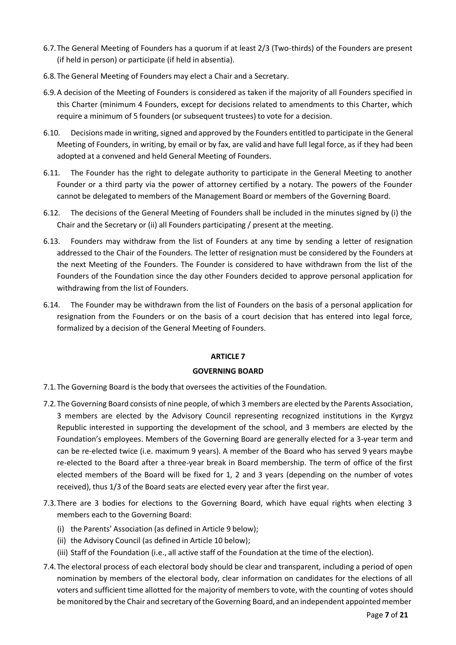- 6.7.The General Meeting of Founders has a quorum if at least 2/3 (Two-thirds) of the Founders are present (if held in person) or participate (if held in absentia).
- 6.8.The General Meeting of Founders may elect a Chair and a Secretary.
- 6.9.A decision of the Meeting of Founders is considered as taken if the majority of all Founders specified in this Charter (minimum 4 Founders, except for decisions related to amendments to this Charter, which require a minimum of 5 founders (or subsequent trustees) to vote for a decision.
- 6.10. Decisions made in writing, signed and approved by the Founders entitled to participate in the General Meeting of Founders, in writing, by email or by fax, are valid and have full legal force, as if they had been adopted at a convened and held General Meeting of Founders.
- 6.11. The Founder has the right to delegate authority to participate in the General Meeting to another Founder or a third party via the power of attorney certified by a notary. The powers of the Founder cannot be delegated to members of the Management Board or members of the Governing Board.
- 6.12. The decisions of the General Meeting of Founders shall be included in the minutes signed by (i) the Chair and the Secretary or (ii) all Founders participating / present at the meeting.
- 6.13. Founders may withdraw from the list of Founders at any time by sending a letter of resignation addressed to the Chair of the Founders. The letter of resignation must be considered by the Founders at the next Meeting of the Founders. The Founder is considered to have withdrawn from the list of the Founders of the Foundation since the day other Founders decided to approve personal application for withdrawing from the list of Founders.
- 6.14. The Founder may be withdrawn from the list of Founders on the basis of a personal application for resignation from the Founders or on the basis of a court decision that has entered into legal force, formalized by a decision of the General Meeting of Founders.

## **GOVERNING BOARD**

- 7.1.The Governing Board is the body that oversees the activities of the Foundation.
- 7.2.The Governing Board consists of nine people, of which 3 members are elected by the Parents Association, 3 members are elected by the Advisory Council representing recognized institutions in the Kyrgyz Republic interested in supporting the development of the school, and 3 members are elected by the Foundation's employees. Members of the Governing Board are generally elected for a 3-year term and can be re-elected twice (i.e. maximum 9 years). A member of the Board who has served 9 years maybe re-elected to the Board after a three-year break in Board membership. The term of office of the first elected members of the Board will be fixed for 1, 2 and 3 years (depending on the number of votes received), thus 1/3 of the Board seats are elected every year after the first year.
- 7.3.There are 3 bodies for elections to the Governing Board, which have equal rights when electing 3 members each to the Governing Board:
	- (i) the Parents' Association (as defined in Article 9 below);
	- (ii) the Advisory Council (as defined in Article 10 below);
	- (iii) Staff of the Foundation (i.e., all active staff of the Foundation at the time of the election).
- 7.4.The electoral process of each electoral body should be clear and transparent, including a period of open nomination by members of the electoral body, clear information on candidates for the elections of all voters and sufficient time allotted for the majority of members to vote, with the counting of votes should be monitored by the Chair and secretary of the Governing Board, and an independent appointedmember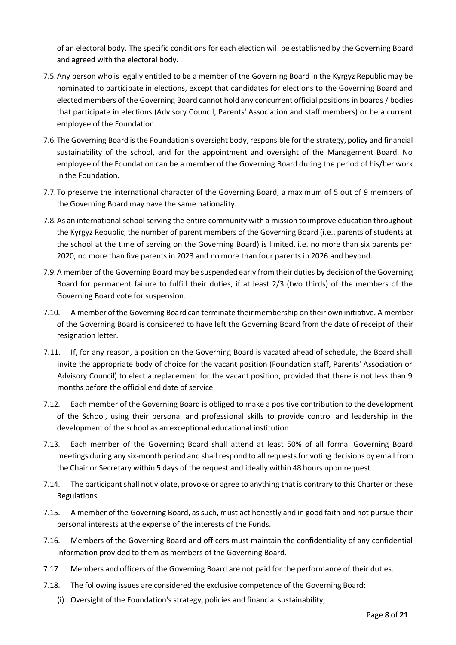of an electoral body. The specific conditions for each election will be established by the Governing Board and agreed with the electoral body.

- 7.5.Any person who is legally entitled to be a member of the Governing Board in the Kyrgyz Republic may be nominated to participate in elections, except that candidates for elections to the Governing Board and elected members of the Governing Board cannot hold any concurrent official positionsin boards / bodies that participate in elections (Advisory Council, Parents' Association and staff members) or be a current employee of the Foundation.
- 7.6. The Governing Board is the Foundation's oversight body, responsible for the strategy, policy and financial sustainability of the school, and for the appointment and oversight of the Management Board. No employee of the Foundation can be a member of the Governing Board during the period of his/her work in the Foundation.
- 7.7.To preserve the international character of the Governing Board, a maximum of 5 out of 9 members of the Governing Board may have the same nationality.
- 7.8.As an international school serving the entire community with a mission to improve education throughout the Kyrgyz Republic, the number of parent members of the Governing Board (i.e., parents of students at the school at the time of serving on the Governing Board) is limited, i.e. no more than six parents per 2020, no more than five parents in 2023 and no more than four parents in 2026 and beyond.
- 7.9.A member of the Governing Board may be suspended early from their duties by decision of the Governing Board for permanent failure to fulfill their duties, if at least 2/3 (two thirds) of the members of the Governing Board vote for suspension.
- 7.10. A member of the Governing Board can terminate their membership on their own initiative. A member of the Governing Board is considered to have left the Governing Board from the date of receipt of their resignation letter.
- 7.11. If, for any reason, a position on the Governing Board is vacated ahead of schedule, the Board shall invite the appropriate body of choice for the vacant position (Foundation staff, Parents' Association or Advisory Council) to elect a replacement for the vacant position, provided that there is not less than 9 months before the official end date of service.
- 7.12. Each member of the Governing Board is obliged to make a positive contribution to the development of the School, using their personal and professional skills to provide control and leadership in the development of the school as an exceptional educational institution.
- 7.13. Each member of the Governing Board shall attend at least 50% of all formal Governing Board meetings during any six-month period and shall respond to all requestsfor voting decisions by email from the Chair or Secretary within 5 days of the request and ideally within 48 hours upon request.
- 7.14. The participant shall not violate, provoke or agree to anything that is contrary to this Charter or these Regulations.
- 7.15. A member of the Governing Board, as such, must act honestly and in good faith and not pursue their personal interests at the expense of the interests of the Funds.
- 7.16. Members of the Governing Board and officers must maintain the confidentiality of any confidential information provided to them as members of the Governing Board.
- 7.17. Members and officers of the Governing Board are not paid for the performance of their duties.
- 7.18. The following issues are considered the exclusive competence of the Governing Board:
	- (i) Oversight of the Foundation's strategy, policies and financial sustainability;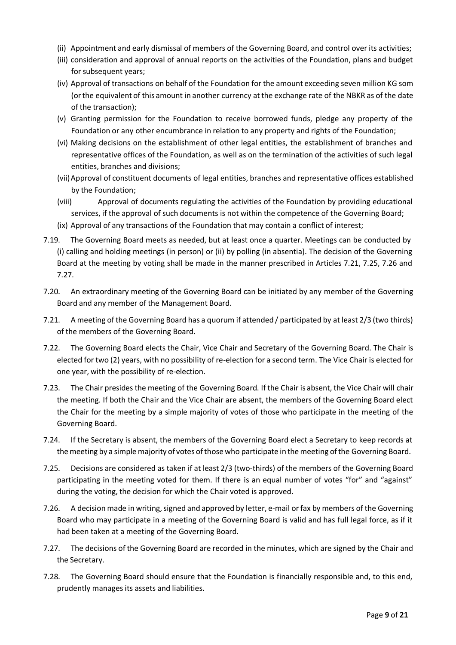- (ii) Appointment and early dismissal of members of the Governing Board, and control over its activities;
- (iii) consideration and approval of annual reports on the activities of the Foundation, plans and budget for subsequent years;
- (iv) Approval of transactions on behalf of the Foundation for the amount exceeding seven million KG som (or the equivalent of this amount in another currency at the exchange rate of the NBKR as of the date of the transaction);
- (v) Granting permission for the Foundation to receive borrowed funds, pledge any property of the Foundation or any other encumbrance in relation to any property and rights of the Foundation;
- (vi) Making decisions on the establishment of other legal entities, the establishment of branches and representative offices of the Foundation, as well as on the termination of the activities of such legal entities, branches and divisions;
- (vii)Approval of constituent documents of legal entities, branches and representative offices established by the Foundation;
- (viii) Approval of documents regulating the activities of the Foundation by providing educational services, if the approval of such documents is not within the competence of the Governing Board;
- (ix) Approval of any transactions of the Foundation that may contain a conflict of interest;
- 7.19. The Governing Board meets as needed, but at least once a quarter. Meetings can be conducted by (i) calling and holding meetings (in person) or (ii) by polling (in absentia). The decision of the Governing Board at the meeting by voting shall be made in the manner prescribed in Articles 7.21, 7.25, 7.26 and 7.27.
- 7.20. An extraordinary meeting of the Governing Board can be initiated by any member of the Governing Board and any member of the Management Board.
- 7.21. A meeting of the Governing Board has a quorum if attended / participated by at least 2/3 (two thirds) of the members of the Governing Board.
- 7.22. The Governing Board elects the Chair, Vice Chair and Secretary of the Governing Board. The Chair is elected for two (2) years, with no possibility of re-election for a second term. The Vice Chair is elected for one year, with the possibility of re-election.
- 7.23. The Chair presides the meeting of the Governing Board. If the Chair is absent, the Vice Chair will chair the meeting. If both the Chair and the Vice Chair are absent, the members of the Governing Board elect the Chair for the meeting by a simple majority of votes of those who participate in the meeting of the Governing Board.
- 7.24. If the Secretary is absent, the members of the Governing Board elect a Secretary to keep records at the meeting by a simple majority of votes of those who participate in the meeting of the Governing Board.
- 7.25. Decisions are considered as taken if at least 2/3 (two-thirds) of the members of the Governing Board participating in the meeting voted for them. If there is an equal number of votes "for" and "against" during the voting, the decision for which the Chair voted is approved.
- 7.26. A decision made in writing, signed and approved by letter, e-mail or fax by members of the Governing Board who may participate in a meeting of the Governing Board is valid and has full legal force, as if it had been taken at a meeting of the Governing Board.
- 7.27. The decisions of the Governing Board are recorded in the minutes, which are signed by the Chair and the Secretary.
- 7.28. The Governing Board should ensure that the Foundation is financially responsible and, to this end, prudently manages its assets and liabilities.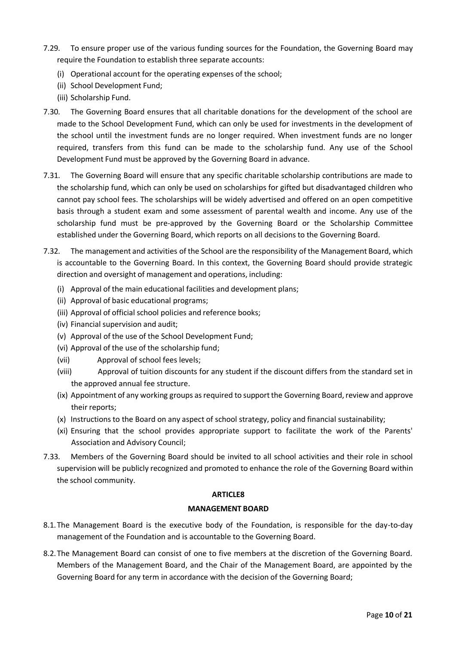- 7.29. To ensure proper use of the various funding sources for the Foundation, the Governing Board may require the Foundation to establish three separate accounts:
	- (i) Operational account for the operating expenses of the school;
	- (ii) School Development Fund;
	- (iii) Scholarship Fund.
- 7.30. The Governing Board ensures that all charitable donations for the development of the school are made to the School Development Fund, which can only be used for investments in the development of the school until the investment funds are no longer required. When investment funds are no longer required, transfers from this fund can be made to the scholarship fund. Any use of the School Development Fund must be approved by the Governing Board in advance.
- 7.31. The Governing Board will ensure that any specific charitable scholarship contributions are made to the scholarship fund, which can only be used on scholarships for gifted but disadvantaged children who cannot pay school fees. The scholarships will be widely advertised and offered on an open competitive basis through a student exam and some assessment of parental wealth and income. Any use of the scholarship fund must be pre-approved by the Governing Board or the Scholarship Committee established under the Governing Board, which reports on all decisions to the Governing Board.
- 7.32. The management and activities of the School are the responsibility of the Management Board, which is accountable to the Governing Board. In this context, the Governing Board should provide strategic direction and oversight of management and operations, including:
	- (i) Approval of the main educational facilities and development plans;
	- (ii) Approval of basic educational programs;
	- (iii) Approval of official school policies and reference books;
	- (iv) Financial supervision and audit;
	- (v) Approval of the use of the School Development Fund;
	- (vi) Approval of the use of the scholarship fund;
	- (vii) Approval of school fees levels;
	- (viii) Approval of tuition discounts for any student if the discount differs from the standard set in the approved annual fee structure.
	- (ix) Appointment of any working groups as required to support the Governing Board, review and approve their reports;
	- (x) Instructions to the Board on any aspect of school strategy, policy and financial sustainability;
	- (xi) Ensuring that the school provides appropriate support to facilitate the work of the Parents' Association and Advisory Council;
- 7.33. Members of the Governing Board should be invited to all school activities and their role in school supervision will be publicly recognized and promoted to enhance the role of the Governing Board within the school community.

## **MANAGEMENT BOARD**

- 8.1.The Management Board is the executive body of the Foundation, is responsible for the day-to-day management of the Foundation and is accountable to the Governing Board.
- 8.2.The Management Board can consist of one to five members at the discretion of the Governing Board. Members of the Management Board, and the Chair of the Management Board, are appointed by the Governing Board for any term in accordance with the decision of the Governing Board;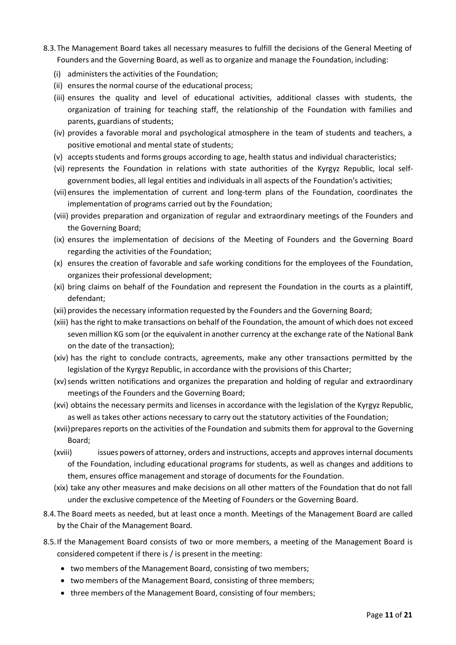- 8.3.The Management Board takes all necessary measures to fulfill the decisions of the General Meeting of Founders and the Governing Board, as well as to organize and manage the Foundation, including:
	- (i) administers the activities of the Foundation;
	- (ii) ensures the normal course of the educational process;
	- (iii) ensures the quality and level of educational activities, additional classes with students, the organization of training for teaching staff, the relationship of the Foundation with families and parents, guardians of students;
	- (iv) provides a favorable moral and psychological atmosphere in the team of students and teachers, a positive emotional and mental state of students;
	- (v) accepts students and forms groups according to age, health status and individual characteristics;
	- (vi) represents the Foundation in relations with state authorities of the Kyrgyz Republic, local selfgovernment bodies, all legal entities and individuals in all aspects of the Foundation's activities;
	- (vii) ensures the implementation of current and long-term plans of the Foundation, coordinates the implementation of programs carried out by the Foundation;
	- (viii) provides preparation and organization of regular and extraordinary meetings of the Founders and the Governing Board;
	- (ix) ensures the implementation of decisions of the Meeting of Founders and the Governing Board regarding the activities of the Foundation;
	- (x) ensures the creation of favorable and safe working conditions for the employees of the Foundation, organizes their professional development;
	- (xi) bring claims on behalf of the Foundation and represent the Foundation in the courts as a plaintiff, defendant;
	- (xii) provides the necessary information requested by the Founders and the Governing Board;
	- (xiii) has the right to make transactions on behalf of the Foundation, the amount of which does not exceed seven million KG som (or the equivalent in another currency at the exchange rate of the National Bank on the date of the transaction);
	- (xiv) has the right to conclude contracts, agreements, make any other transactions permitted by the legislation of the Kyrgyz Republic, in accordance with the provisions of this Charter;
	- (xv) sends written notifications and organizes the preparation and holding of regular and extraordinary meetings of the Founders and the Governing Board;
	- (xvi) obtains the necessary permits and licenses in accordance with the legislation of the Kyrgyz Republic, as well as takes other actions necessary to carry out the statutory activities of the Foundation;
	- (xvii)prepares reports on the activities of the Foundation and submits them for approval to the Governing Board;
	- (xviii) issues powers of attorney, orders and instructions, accepts and approves internal documents of the Foundation, including educational programs for students, as well as changes and additions to them, ensures office management and storage of documents for the Foundation.
	- (xix) take any other measures and make decisions on all other matters of the Foundation that do not fall under the exclusive competence of the Meeting of Founders or the Governing Board.
- 8.4.The Board meets as needed, but at least once a month. Meetings of the Management Board are called by the Chair of the Management Board.
- 8.5.If the Management Board consists of two or more members, a meeting of the Management Board is considered competent if there is / is present in the meeting:
	- two members of the Management Board, consisting of two members;
	- two members of the Management Board, consisting of three members;
	- three members of the Management Board, consisting of four members;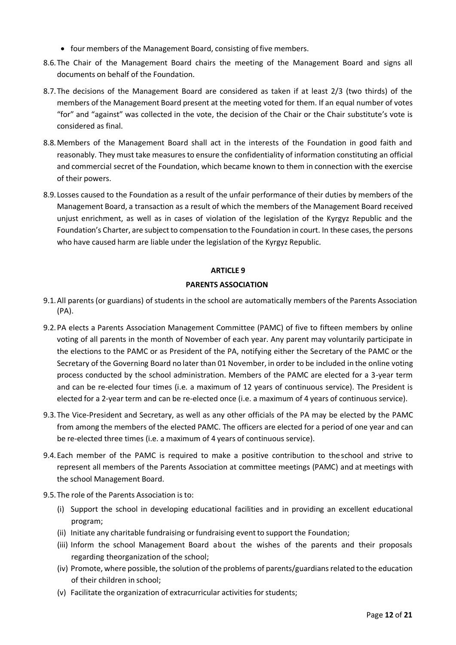- four members of the Management Board, consisting of five members.
- 8.6.The Chair of the Management Board chairs the meeting of the Management Board and signs all documents on behalf of the Foundation.
- 8.7.The decisions of the Management Board are considered as taken if at least 2/3 (two thirds) of the members of the Management Board present at the meeting voted for them. If an equal number of votes "for" and "against" was collected in the vote, the decision of the Chair or the Chair substitute's vote is considered as final.
- 8.8.Members of the Management Board shall act in the interests of the Foundation in good faith and reasonably. They must take measures to ensure the confidentiality of information constituting an official and commercial secret of the Foundation, which became known to them in connection with the exercise of their powers.
- 8.9. Losses caused to the Foundation as a result of the unfair performance of their duties by members of the Management Board, a transaction as a result of which the members of the Management Board received unjust enrichment, as well as in cases of violation of the legislation of the Kyrgyz Republic and the Foundation's Charter, are subject to compensation to the Foundation in court. In these cases, the persons who have caused harm are liable under the legislation of the Kyrgyz Republic.

## **PARENTS ASSOCIATION**

- 9.1.All parents (or guardians) of students in the school are automatically members of the Parents Association (PA).
- 9.2.PA elects a Parents Association Management Committee (PAMC) of five to fifteen members by online voting of all parents in the month of November of each year. Any parent may voluntarily participate in the elections to the PAMC or as President of the PA, notifying either the Secretary of the PAMC or the Secretary of the Governing Board no later than 01 November, in order to be included in the online voting process conducted by the school administration. Members of the PAMC are elected for a 3-year term and can be re-elected four times (i.e. a maximum of 12 years of continuous service). The President is elected for a 2-year term and can be re-elected once (i.e. a maximum of 4 years of continuous service).
- 9.3.The Vice-President and Secretary, as well as any other officials of the PA may be elected by the PAMC from among the members of the elected PAMC. The officers are elected for a period of one year and can be re-elected three times (i.e. a maximum of 4 years of continuous service).
- 9.4.Each member of the PAMC is required to make a positive contribution to theschool and strive to represent all members of the Parents Association at committee meetings (PAMC) and at meetings with the school Management Board.
- 9.5.The role of the Parents Association is to:
	- (i) Support the school in developing educational facilities and in providing an excellent educational program;
	- (ii) Initiate any charitable fundraising or fundraising eventto support the Foundation;
	- (iii) Inform the school Management Board about the wishes of the parents and their proposals regarding theorganization of the school;
	- (iv) Promote, where possible, the solution of the problems of parents/guardians related to the education of their children in school;
	- (v) Facilitate the organization of extracurricular activities forstudents;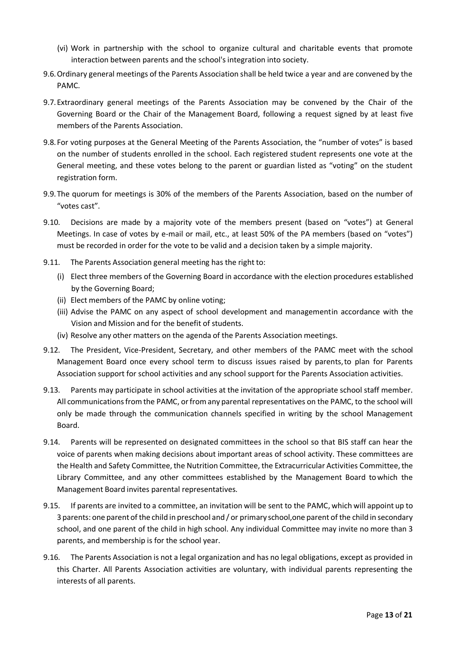- (vi) Work in partnership with the school to organize cultural and charitable events that promote interaction between parents and the school's integration into society.
- 9.6.Ordinary general meetings of the Parents Association shall be held twice a year and are convened by the PAMC.
- 9.7.Extraordinary general meetings of the Parents Association may be convened by the Chair of the Governing Board or the Chair of the Management Board, following a request signed by at least five members of the Parents Association.
- 9.8. For voting purposes at the General Meeting of the Parents Association, the "number of votes" is based on the number of students enrolled in the school. Each registered student represents one vote at the General meeting, and these votes belong to the parent or guardian listed as "voting" on the student registration form.
- 9.9.The quorum for meetings is 30% of the members of the Parents Association, based on the number of "votes cast".
- 9.10. Decisions are made by a majority vote of the members present (based on "votes") at General Meetings. In case of votes by e-mail or mail, etc., at least 50% of the PA members (based on "votes") must be recorded in order for the vote to be valid and a decision taken by a simple majority.
- 9.11. The Parents Association general meeting has the right to:
	- (i) Elect three members of the Governing Board in accordance with the election procedures established by the Governing Board;
	- (ii) Elect members of the PAMC by online voting;
	- (iii) Advise the PAMC on any aspect of school development and managementin accordance with the Vision and Mission and for the benefit of students.
	- (iv) Resolve any other matters on the agenda of the Parents Association meetings.
- 9.12. The President, Vice-President, Secretary, and other members of the PAMC meet with the school Management Board once every school term to discuss issues raised by parents,to plan for Parents Association support for school activities and any school support for the Parents Association activities.
- 9.13. Parents may participate in school activities at the invitation of the appropriate school staff member. All communications from the PAMC, or from any parental representatives on the PAMC, to the school will only be made through the communication channels specified in writing by the school Management Board.
- 9.14. Parents will be represented on designated committees in the school so that BIS staff can hear the voice of parents when making decisions about important areas of school activity. These committees are the Health and Safety Committee, the Nutrition Committee, the Extracurricular Activities Committee,the Library Committee, and any other committees established by the Management Board towhich the Management Board invites parental representatives.
- 9.15. If parents are invited to a committee, an invitation will be sent to the PAMC, which will appoint up to 3 parents: one parent of the child in preschool and / or primary school,one parent of the child in secondary school, and one parent of the child in high school. Any individual Committee may invite no more than 3 parents, and membership is for the school year.
- 9.16. The Parents Association is not a legal organization and has no legal obligations, except as provided in this Charter. All Parents Association activities are voluntary, with individual parents representing the interests of all parents.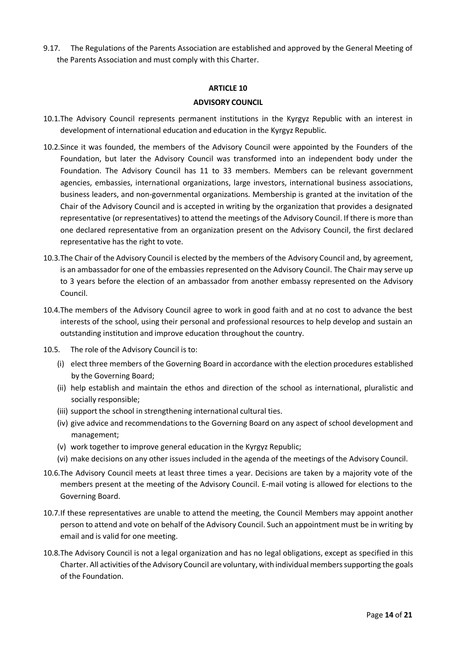9.17. The Regulations of the Parents Association are established and approved by the General Meeting of the Parents Association and must comply with this Charter.

## **ARTICLE 10**

#### **ADVISORY COUNCIL**

- 10.1.The Advisory Council represents permanent institutions in the Kyrgyz Republic with an interest in development of international education and education in the Kyrgyz Republic.
- 10.2.Since it was founded, the members of the Advisory Council were appointed by the Founders of the Foundation, but later the Advisory Council was transformed into an independent body under the Foundation. The Advisory Council has 11 to 33 members. Members can be relevant government agencies, embassies, international organizations, large investors, international business associations, business leaders, and non-governmental organizations. Membership is granted at the invitation of the Chair of the Advisory Council and is accepted in writing by the organization that provides a designated representative (or representatives) to attend the meetings of the Advisory Council. If there is more than one declared representative from an organization present on the Advisory Council, the first declared representative has the right to vote.
- 10.3.The Chair of the Advisory Council is elected by the members of the Advisory Council and, by agreement, is an ambassador for one of the embassies represented on the Advisory Council. The Chair may serve up to 3 years before the election of an ambassador from another embassy represented on the Advisory Council.
- 10.4.The members of the Advisory Council agree to work in good faith and at no cost to advance the best interests of the school, using their personal and professional resources to help develop and sustain an outstanding institution and improve education throughout the country.
- 10.5. The role of the Advisory Council is to:
	- (i) elect three members of the Governing Board in accordance with the election procedures established by the Governing Board;
	- (ii) help establish and maintain the ethos and direction of the school as international, pluralistic and socially responsible;
	- (iii) support the school in strengthening international cultural ties.
	- (iv) give advice and recommendations to the Governing Board on any aspect of school development and management;
	- (v) work together to improve general education in the Kyrgyz Republic;
	- (vi) make decisions on any other issues included in the agenda of the meetings of the Advisory Council.
- 10.6.The Advisory Council meets at least three times a year. Decisions are taken by a majority vote of the members present at the meeting of the Advisory Council. E-mail voting is allowed for elections to the Governing Board.
- 10.7.If these representatives are unable to attend the meeting, the Council Members may appoint another person to attend and vote on behalf of the Advisory Council. Such an appointment must be in writing by email and is valid for one meeting.
- 10.8.The Advisory Council is not a legal organization and has no legal obligations, except as specified in this Charter. All activities ofthe Advisory Council are voluntary, with individual memberssupporting the goals of the Foundation.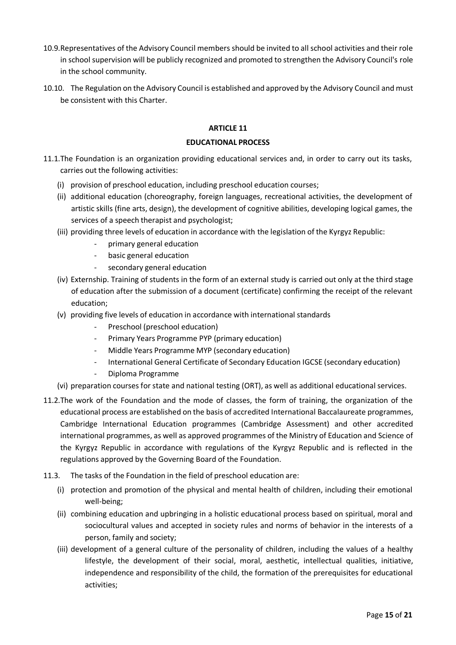- 10.9.Representatives of the Advisory Council members should be invited to all school activities and their role in school supervision will be publicly recognized and promoted to strengthen the Advisory Council's role in the school community.
- 10.10. The Regulation on the Advisory Council is established and approved by the Advisory Council and must be consistent with this Charter.

#### **EDUCATIONAL PROCESS**

- 11.1.The Foundation is an organization providing educational services and, in order to carry out its tasks, carries out the following activities:
	- (i) provision of preschool education, including preschool education courses;
	- (ii) additional education (choreography, foreign languages, recreational activities, the development of artistic skills (fine arts, design), the development of cognitive abilities, developing logical games, the services of a speech therapist and psychologist;
	- (iii) providing three levels of education in accordance with the legislation of the Kyrgyz Republic:
		- primary general education
		- basic general education
		- secondary general education
	- (iv) Externship. Training of students in the form of an external study is carried out only at the third stage of education after the submission of a document (certificate) confirming the receipt of the relevant education;
	- (v) providing five levels of education in accordance with international standards
		- Preschool (preschool education)
		- Primary Years Programme PYP (primary education)
		- Middle Years Programme MYP (secondary education)
		- International General Certificate of Secondary Education IGCSE (secondary education)
			- Diploma Programme
	- (vi) preparation courses forstate and national testing (ORT), as well as additional educational services.
- 11.2.The work of the Foundation and the mode of classes, the form of training, the organization of the educational process are established on the basis of accredited International Baccalaureate programmes, Cambridge International Education programmes (Cambridge Assessment) and other accredited international programmes, as well as approved programmes of the Ministry of Education and Science of the Kyrgyz Republic in accordance with regulations of the Kyrgyz Republic and is reflected in the regulations approved by the Governing Board of the Foundation.
- 11.3. The tasks of the Foundation in the field of preschool education are:
	- (i) protection and promotion of the physical and mental health of children, including their emotional well-being;
	- (ii) combining education and upbringing in a holistic educational process based on spiritual, moral and sociocultural values and accepted in society rules and norms of behavior in the interests of a person, family and society;
	- (iii) development of a general culture of the personality of children, including the values of a healthy lifestyle, the development of their social, moral, aesthetic, intellectual qualities, initiative, independence and responsibility of the child, the formation of the prerequisites for educational activities;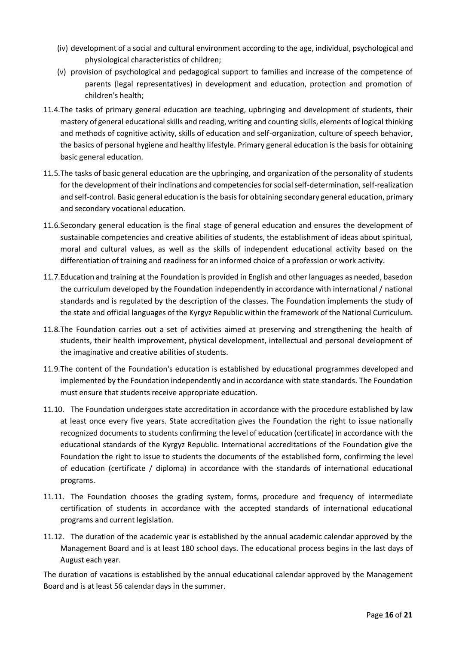- (iv) development of a social and cultural environment according to the age, individual, psychological and physiological characteristics of children;
- (v) provision of psychological and pedagogical support to families and increase of the competence of parents (legal representatives) in development and education, protection and promotion of children's health;
- 11.4.The tasks of primary general education are teaching, upbringing and development of students, their mastery of general educational skills and reading, writing and counting skills, elements of logical thinking and methods of cognitive activity, skills of education and self-organization, culture of speech behavior, the basics of personal hygiene and healthy lifestyle. Primary general education is the basis for obtaining basic general education.
- 11.5.The tasks of basic general education are the upbringing, and organization of the personality of students for the development of their inclinations and competencies for social self-determination, self-realization and self-control. Basic general education is the basis for obtaining secondary general education, primary and secondary vocational education.
- 11.6.Secondary general education is the final stage of general education and ensures the development of sustainable competencies and creative abilities of students, the establishment of ideas about spiritual, moral and cultural values, as well as the skills of independent educational activity based on the differentiation of training and readiness for an informed choice of a profession or work activity.
- 11.7.Education and training at the Foundation is provided in English and other languages as needed, basedon the curriculum developed by the Foundation independently in accordance with international / national standards and is regulated by the description of the classes. The Foundation implements the study of the state and official languages of the Kyrgyz Republic within the framework of the National Curriculum.
- 11.8.The Foundation carries out a set of activities aimed at preserving and strengthening the health of students, their health improvement, physical development, intellectual and personal development of the imaginative and creative abilities of students.
- 11.9.The content of the Foundation's education is established by educational programmes developed and implemented by the Foundation independently and in accordance with state standards. The Foundation must ensure that students receive appropriate education.
- 11.10. The Foundation undergoes state accreditation in accordance with the procedure established by law at least once every five years. State accreditation gives the Foundation the right to issue nationally recognized documents to students confirming the level of education (certificate) in accordance with the educational standards of the Kyrgyz Republic. International accreditations of the Foundation give the Foundation the right to issue to students the documents of the established form, confirming the level of education (certificate / diploma) in accordance with the standards of international educational programs.
- 11.11. The Foundation chooses the grading system, forms, procedure and frequency of intermediate certification of students in accordance with the accepted standards of international educational programs and current legislation.
- 11.12. The duration of the academic year is established by the annual academic calendar approved by the Management Board and is at least 180 school days. The educational process begins in the last days of August each year.

The duration of vacations is established by the annual educational calendar approved by the Management Board and is at least 56 calendar days in the summer.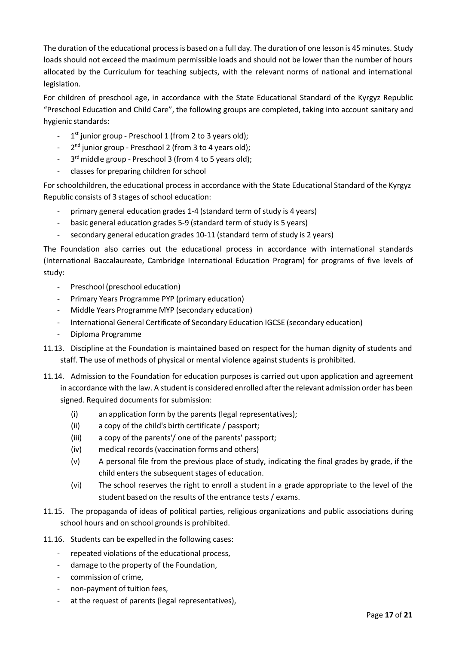The duration of the educational processis based on a full day. The duration of one lesson is 45 minutes. Study loads should not exceed the maximum permissible loads and should not be lower than the number of hours allocated by the Curriculum for teaching subjects, with the relevant norms of national and international legislation.

For children of preschool age, in accordance with the State Educational Standard of the Kyrgyz Republic "Preschool Education and Child Care", the following groups are completed, taking into account sanitary and hygienic standards:

- 1<sup>st</sup> junior group Preschool 1 (from 2 to 3 years old);
- 2<sup>nd</sup> junior group Preschool 2 (from 3 to 4 years old);
- $-$  3  $3<sup>rd</sup>$  middle group - Preschool 3 (from 4 to 5 years old);
- classes for preparing children for school

For schoolchildren, the educational process in accordance with the State Educational Standard of the Kyrgyz Republic consists of 3 stages of school education:

- primary general education grades 1-4 (standard term of study is 4 years)
- basic general education grades 5-9 (standard term of study is 5 years)
- secondary general education grades 10-11 (standard term of study is 2 years)

The Foundation also carries out the educational process in accordance with international standards (International Baccalaureate, Cambridge International Education Program) for programs of five levels of study:

- Preschool (preschool education)
- Primary Years Programme PYP (primary education)
- Middle Years Programme MYP (secondary education)
- International General Certificate of Secondary Education IGCSE (secondary education)
- Diploma Programme

11.13. Discipline at the Foundation is maintained based on respect for the human dignity of students and staff. The use of methods of physical or mental violence against students is prohibited.

- 11.14. Admission to the Foundation for education purposes is carried out upon application and agreement in accordance with the law. A student is considered enrolled after the relevant admission order has been signed. Required documents for submission:
	- (i) an application form by the parents (legal representatives);
	- (ii) a copy of the child's birth certificate / passport;
	- (iii) a copy of the parents'/ one of the parents' passport;
	- (iv) medical records(vaccination forms and others)
	- (v) A personal file from the previous place of study, indicating the final grades by grade, if the child enters the subsequent stages of education.
	- (vi) The school reserves the right to enroll a student in a grade appropriate to the level of the student based on the results of the entrance tests / exams.
- 11.15. The propaganda of ideas of political parties, religious organizations and public associations during school hours and on school grounds is prohibited.
- 11.16. Students can be expelled in the following cases:
	- repeated violations of the educational process,
	- damage to the property of the Foundation,
	- commission of crime,
	- non-payment of tuition fees,
	- at the request of parents (legal representatives),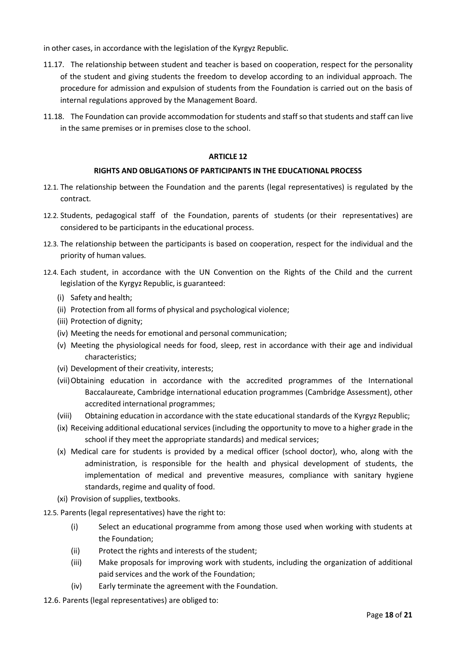in other cases, in accordance with the legislation of the Kyrgyz Republic.

- 11.17. The relationship between student and teacher is based on cooperation, respect for the personality of the student and giving students the freedom to develop according to an individual approach. The procedure for admission and expulsion of students from the Foundation is carried out on the basis of internal regulations approved by the Management Board.
- 11.18. The Foundation can provide accommodation forstudents and staff so thatstudents and staff can live in the same premises or in premises close to the school.

## **ARTICLE 12**

## **RIGHTS AND OBLIGATIONS OF PARTICIPANTS IN THE EDUCATIONAL PROCESS**

- 12.1. The relationship between the Foundation and the parents (legal representatives) is regulated by the contract.
- 12.2. Students, pedagogical staff of the Foundation, parents of students (or their representatives) are considered to be participants in the educational process.
- 12.3. The relationship between the participants is based on cooperation, respect for the individual and the priority of human values.
- 12.4. Each student, in accordance with the UN Convention on the Rights of the Child and the current legislation of the Kyrgyz Republic, is guaranteed:
	- (i) Safety and health;
	- (ii) Protection from all forms of physical and psychological violence;
	- (iii) Protection of dignity;
	- (iv) Meeting the needs for emotional and personal communication;
	- (v) Meeting the physiological needs for food, sleep, rest in accordance with their age and individual characteristics;
	- (vi) Development of their creativity, interests;
	- (vii)Obtaining education in accordance with the accredited programmes of the International Baccalaureate, Cambridge international education programmes (Cambridge Assessment), other accredited international programmes;
	- (viii) Obtaining education in accordance with the state educational standards of the Kyrgyz Republic;
	- (ix) Receiving additional educational services (including the opportunity to move to a higher grade in the school if they meet the appropriate standards) and medical services;
	- (x) Medical care for students is provided by a medical officer (school doctor), who, along with the administration, is responsible for the health and physical development of students, the implementation of medical and preventive measures, compliance with sanitary hygiene standards, regime and quality of food.
	- (xi) Provision of supplies, textbooks.
- 12.5. Parents (legal representatives) have the right to:
	- (i) Select an educational programme from among those used when working with students at the Foundation;
	- (ii) Protect the rights and interests of the student;
	- (iii) Make proposals for improving work with students, including the organization of additional paid services and the work of the Foundation;
	- (iv) Early terminate the agreement with the Foundation.
- 12.6. Parents (legal representatives) are obliged to: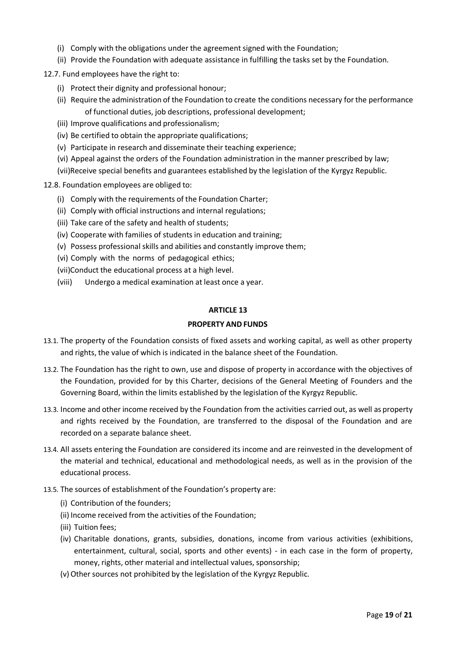- (i) Comply with the obligations under the agreementsigned with the Foundation;
- (ii) Provide the Foundation with adequate assistance in fulfilling the tasks set by the Foundation.

12.7. Fund employees have the right to:

- (i) Protect their dignity and professional honour;
- (ii) Require the administration of the Foundation to create the conditions necessary forthe performance of functional duties, job descriptions, professional development;
- (iii) Improve qualifications and professionalism;
- (iv) Be certified to obtain the appropriate qualifications;
- (v) Participate in research and disseminate their teaching experience;
- (vi) Appeal against the orders of the Foundation administration in the manner prescribed by law;

(vii)Receive special benefits and guarantees established by the legislation of the Kyrgyz Republic.

12.8. Foundation employees are obliged to:

- (i) Comply with the requirements of the Foundation Charter;
- (ii) Comply with official instructions and internal regulations;
- (iii) Take care of the safety and health of students;
- (iv) Cooperate with families of students in education and training;
- (v) Possess professional skills and abilities and constantly improve them;
- (vi) Comply with the norms of pedagogical ethics;
- (vii)Conduct the educational process at a high level.
- (viii) Undergo a medical examination at least once a year.

#### **ARTICLE 13**

## **PROPERTY AND FUNDS**

- 13.1. The property of the Foundation consists of fixed assets and working capital, as well as other property and rights, the value of which is indicated in the balance sheet of the Foundation.
- 13.2. The Foundation has the right to own, use and dispose of property in accordance with the objectives of the Foundation, provided for by this Charter, decisions of the General Meeting of Founders and the Governing Board, within the limits established by the legislation of the Kyrgyz Republic.
- 13.3. Income and other income received by the Foundation from the activities carried out, as well as property and rights received by the Foundation, are transferred to the disposal of the Foundation and are recorded on a separate balance sheet.
- 13.4. All assets entering the Foundation are considered its income and are reinvested in the development of the material and technical, educational and methodological needs, as well as in the provision of the educational process.
- 13.5. The sources of establishment of the Foundation's property are:
	- (i) Contribution of the founders;
	- (ii) Income received from the activities of the Foundation;
	- (iii) Tuition fees;
	- (iv) Charitable donations, grants, subsidies, donations, income from various activities (exhibitions, entertainment, cultural, social, sports and other events) - in each case in the form of property, money, rights, other material and intellectual values, sponsorship;
	- (v) Other sources not prohibited by the legislation of the Kyrgyz Republic.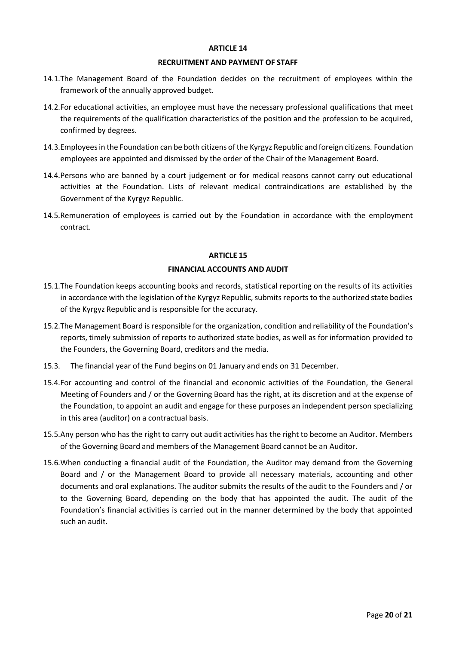#### **RECRUITMENT AND PAYMENT OF STAFF**

- 14.1.The Management Board of the Foundation decides on the recruitment of employees within the framework of the annually approved budget.
- 14.2.For educational activities, an employee must have the necessary professional qualifications that meet the requirements of the qualification characteristics of the position and the profession to be acquired, confirmed by degrees.
- 14.3.Employees in the Foundation can be both citizens of the Kyrgyz Republic and foreign citizens. Foundation employees are appointed and dismissed by the order of the Chair of the Management Board.
- 14.4.Persons who are banned by a court judgement or for medical reasons cannot carry out educational activities at the Foundation. Lists of relevant medical contraindications are established by the Government of the Kyrgyz Republic.
- 14.5.Remuneration of employees is carried out by the Foundation in accordance with the employment contract.

#### **ARTICLE 15**

#### **FINANCIAL ACCOUNTS AND AUDIT**

- 15.1.The Foundation keeps accounting books and records, statistical reporting on the results of its activities in accordance with the legislation of the Kyrgyz Republic, submits reports to the authorized state bodies of the Kyrgyz Republic and is responsible for the accuracy.
- 15.2.The Management Board is responsible for the organization, condition and reliability of the Foundation's reports, timely submission of reports to authorized state bodies, as well as for information provided to the Founders, the Governing Board, creditors and the media.
- 15.3. The financial year of the Fund begins on 01 January and ends on 31 December.
- 15.4.For accounting and control of the financial and economic activities of the Foundation, the General Meeting of Founders and / or the Governing Board has the right, at its discretion and at the expense of the Foundation, to appoint an audit and engage for these purposes an independent person specializing in this area (auditor) on a contractual basis.
- 15.5.Any person who has the right to carry out audit activities has the right to become an Auditor. Members of the Governing Board and members of the Management Board cannot be an Auditor.
- 15.6.When conducting a financial audit of the Foundation, the Auditor may demand from the Governing Board and / or the Management Board to provide all necessary materials, accounting and other documents and oral explanations. The auditor submits the results of the audit to the Founders and / or to the Governing Board, depending on the body that has appointed the audit. The audit of the Foundation's financial activities is carried out in the manner determined by the body that appointed such an audit.